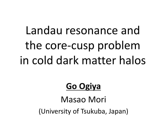# Landau resonance and the core-cusp problem in cold dark matter halos

#### **Go Ogiya**

Masao Mori (University of Tsukuba, Japan)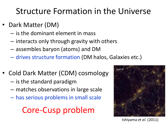#### Structure Formation in the Universe

- Dark Matter (DM)
	- is the dominant element in mass
	- interacts only through gravity with others
	- assembles baryon (atoms) and DM
	- drives structure formation (DM halos, Galaxies etc.)
- Cold Dark Matter (CDM) cosmology
	- is the standard paradigm
	- matches observations in large scale
	- has serious problems in small scale

#### Core-Cusp problem



Ishiyama *et al*. (2011)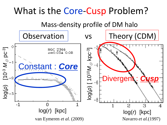#### What is the Core-Cusp Problem?

Mass-density profile of DM halo

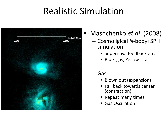## Realistic Simulation



- Mashchenko *et al*. (2008)
	- Cosmoligical *N*-body+SPH simulation
		- Supernova feedback etc.
		- Blue: gas, Yellow: star
	- Gas
		- Blown out (expansion)
		- Fall back towards center (contraction)
		- Repeat many times
		- Gas Oscillation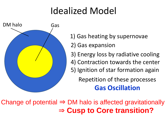# Idealized Model



- 1) Gas heating by supernovae
- 2) Gas expansion
- 3) Energy loss by radiative cooling
- 4) Contraction towards the center
- 5) Ignition of star formation again

Repetition of these processes **Gas Oscillation**

Change of potential  $\Rightarrow$  DM halo is affected gravitationally ⇒ **Cusp to Core transition?**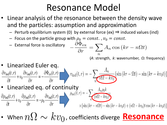#### Resonance Model

- Linear analysis of the resonance between the density wave and the particles: assumption and approximation
	- Perturb equilibrium system (0) by external force (ex)  $\Rightarrow$  induced values (ind)
	- Focus on the particle group with  $\rho_0 = const.$ ,  $v_0 = const.$
	- Focus on the particle  $e^{i\omega_{\text{ref}}t}$  or  $-\frac{\partial \check{\Phi}_{\text{ex}}}{\partial r} = \sum_{n} A_n \cos(kr n\Omega t)$ (*A*: strength, *k*: wavenumber, Ω: frequency)
- 

• Linearized Euler eq.<br>  $\frac{\partial v_{\text{ind}}(t,r)}{\partial t} + v_0 \frac{\partial v_{\text{ind}}(t,r)}{\partial r} = -\frac{\partial \Phi_{\text{ex}}(t,r)}{\partial r}$   $v_{\text{ind}}(t,r) = -\sum_n \frac{A_n}{n\Omega - kv_0} \{\sin(kr - \Omega t) - \sin(kr - kv_0t)\}$ 

• Linearized eq. of continuity  $A_n \rho_0 k$ 

$$
\frac{\partial \rho_{\text{ind}}(t, r)}{\partial t} + v_0 \frac{\partial \rho_{\text{ind}}(t, r)}{\partial r} = -\rho_0 \frac{\partial v_{\text{ind}}(t, r)}{\partial r} \n\begin{bmatrix}\n\frac{\partial \rho_{\text{ind}}(t, r)}{\partial r} & \frac{\rho_{\text{ind}}(t, r)}{\rho_{\text{ind}}(kr - n\Omega t)} \\
\frac{\partial \rho_{\text{ind}}(t, r)}{\partial r} & \frac{\partial \rho_{\text{ind}}(t, r)}{\partial r}\n\end{bmatrix}
$$

• When  $n\Omega \sim kv_{0}$  , coefficients diverge  $\textbf{\textcolor{blue}{Resonance}}$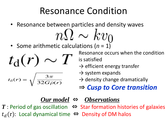### Resonance Condition

 $n\Omega \sim kv_0$ 

• Resonance between particles and density waves

• Some arithmetic calculations (*n* = 1)

$$
t_{\rm d}(r)\sim T
$$

$$
t_{\rm d}(r) = \sqrt{\frac{3\pi}{32G\bar{\rho}(r)}}
$$

Resonance occurs when the condition is satisfied

- $\rightarrow$  efficient energy transfer
- $\rightarrow$  system expands
- $\rightarrow$  density change dramatically

⇒ *Cusp to Core transition*

#### *Our model* ⇔ *Observations*  $T$  : Period of gas oscillation  $\Leftrightarrow$  Star formation histories of galaxies  $t_d(r)$ : Local dynamical time ⇔ Density of DM halos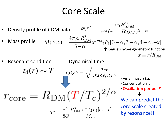#### Core Scale

 $\rho(r) = \frac{\rho_0 R_{DM}^3}{r^{\alpha}(r + R_{DM})^{3-\alpha}}$ Density profile of CDM halo  $M(\alpha;x) = \frac{4\pi\rho_0 R_{\rm DM}^3}{3-\alpha} x^{3-\alpha} {}_2F_1[3-\alpha,3-\alpha,4-\alpha;-x]$ <br>  $\uparrow$  Gauss's hyper-geometric function Mass profile  $x \equiv r/R_{\rm DM}$ Resonant condition Dynamical time<br> $t_{\rm d}(r) \sim T$   $t_{\rm d}(r) = \sqrt{\frac{3\pi}{32G\bar{\rho}(r)}}$ • Virial mass  $M_{\text{vir}}$ ・*C*oncentration *c* ・**Oscillation period** *T*  $r_{\rm core}=R_{\rm DM}(T/T_{\rm c})^{2/\alpha}$  ↓ We can predict the core scale created  $T_{\rm c}^2 \equiv \frac{\pi^2}{8C} \frac{R_{\rm DM}^3 c^{3-\alpha} {}_{2}F_1[\alpha;-c]}{M}$ by resonance!!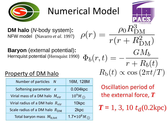**DM halo** (*N*-body system)**:** NFW model (Navarro *et al.* 1997)

**Baryon** (external potential)**:** Hernquist potential (Hernquist 1990)

#### Property of DM halo

| Number of particles N                       | 16M, 128M                       |
|---------------------------------------------|---------------------------------|
| Softening parameter $\varepsilon$           | 0.004kpc                        |
| Virial mass of a DM halo $M_{\text{vir}}$   | $10^9 M_{\odot}$                |
| Virial radius of a DM halo $R_{\text{vir}}$ | 10kpc                           |
| Scale radius of a DM halo $R_{DM}$          | 2kpc                            |
| Total baryon mass $M_{\text{b,tot}}$        | 1.7×10 <sup>8</sup> $M_{\odot}$ |

$$
\rho(r) = \frac{\rho_0 R_{\text{DM}}^3}{r(r + R_{\text{DM}}^2)}
$$

$$
\Phi_b(r, t) = -\frac{GM_b}{r + R_b(t)}
$$

$$
R_b(t) \propto \cos(2\pi t/T)
$$

Oscillation period of the external force, *T*

 $T = 1, 3, 10 t<sub>d</sub>(0.2 kpc)$ 



## Numerical Model

 $\Phi$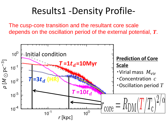#### Results1 -Density Profile-

The cusp-core transition and the resultant core scale depends on the oscillation period of the external potential, *T*.

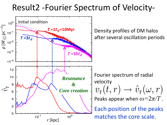#### Result2 -Fourier Spectrum of Velocity-

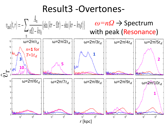